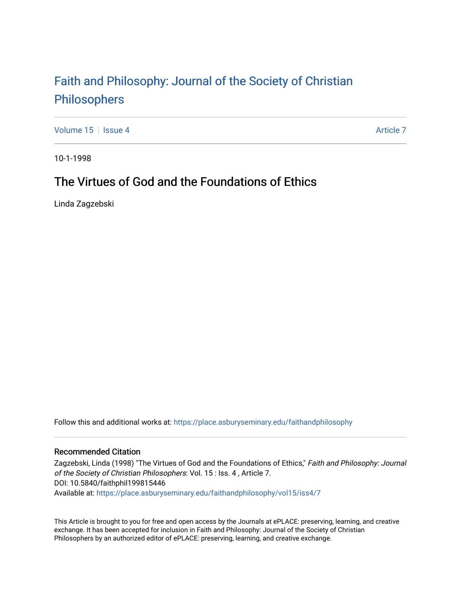# [Faith and Philosophy: Journal of the Society of Christian](https://place.asburyseminary.edu/faithandphilosophy)  [Philosophers](https://place.asburyseminary.edu/faithandphilosophy)

[Volume 15](https://place.asburyseminary.edu/faithandphilosophy/vol15) Setsue 4 [Article 7](https://place.asburyseminary.edu/faithandphilosophy/vol15/iss4/7) Article 7 Article 7

10-1-1998

## The Virtues of God and the Foundations of Ethics

Linda Zagzebski

Follow this and additional works at: [https://place.asburyseminary.edu/faithandphilosophy](https://place.asburyseminary.edu/faithandphilosophy?utm_source=place.asburyseminary.edu%2Ffaithandphilosophy%2Fvol15%2Fiss4%2F7&utm_medium=PDF&utm_campaign=PDFCoverPages)

### Recommended Citation

Zagzebski, Linda (1998) "The Virtues of God and the Foundations of Ethics," Faith and Philosophy: Journal of the Society of Christian Philosophers: Vol. 15 : Iss. 4 , Article 7. DOI: 10.5840/faithphil199815446 Available at: [https://place.asburyseminary.edu/faithandphilosophy/vol15/iss4/7](https://place.asburyseminary.edu/faithandphilosophy/vol15/iss4/7?utm_source=place.asburyseminary.edu%2Ffaithandphilosophy%2Fvol15%2Fiss4%2F7&utm_medium=PDF&utm_campaign=PDFCoverPages)

This Article is brought to you for free and open access by the Journals at ePLACE: preserving, learning, and creative exchange. It has been accepted for inclusion in Faith and Philosophy: Journal of the Society of Christian Philosophers by an authorized editor of ePLACE: preserving, learning, and creative exchange.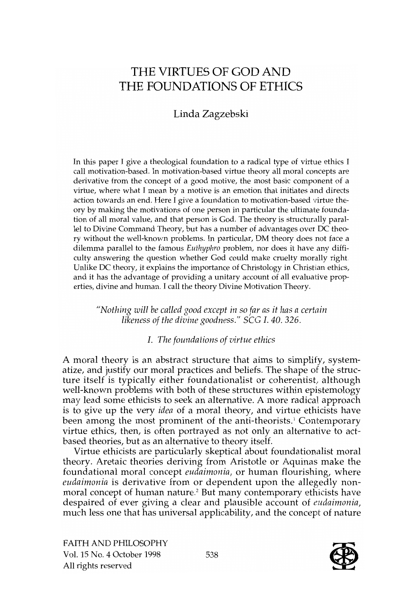## THE VIRTUES OF GOD AND THE FOUNDATIONS OF ETHICS

## Linda Zagzebski

In this paper I give a theological foundation to a radical type of virtue ethics I call motivation-based. In motivation-based virtue theory all moral concepts are derivative from the concept of a good motive, the most basic component of a virtue, where what I mean by a motive is an emotion that initiates and directs action towards an end. Here I give a foundation to motivation-based virtue theory by making the motivations of one person in particular the ultimate foundation of all moral value, and that person is God. The theory is structurally parallel to Divine Command Theory, but has a number of advantages over DC theory without the well-known problems. In particular, DM theory does not face a dilemma parallel to the famous Euthyphro problem, nor does it have any difficulty answering the question whether God could make cruelty morally right. Unlike DC theory, it explains the importance of Christology in Christian ethics, and it has the advantage of providing a unitary account of all evaluative properties, divine and human. I call the theory Divine Motivation Theory.

*"Nothing* will *be called good except in* so *far as it has a certain likeness of the divine goodness." sec* I. *40. 326.* 

#### *1. The foundations of virtue ethics*

A moral theory is an abstract structure that aims to simplify, systematize, and justify our moral practices and beliefs. The shape of the structure itself is typically either foundationalist or coherentist, although well-known problems with both of these structures within epistemology may lead some ethicists to seek an alternative. A more radical approach is to give up the very *idea* of a moral theory, and virtue ethicists have been among the most prominent of the anti-theorists.' Contemporary virtue ethics, then, is often portrayed as not only an alternative to actbased theories, but as an alternative to theory itself.

Virtue ethicists are particularly skeptical about foundationalist moral theory. Aretaic theories deriving from Aristotle or Aquinas make the foundational moral concept *eudaimonia,* or human flourishing, where *eudaimonia* is derivative from or dependent upon the allegedly nonmoral concept of human nature.<sup>2</sup> But many contemporary ethicists have despaired of ever giving a clear and plausible account of *eudaimonia,*  much less one that has universal applicability, and the concept of nature

FAITH AND PHILOSOPHY Vol. 15 No.4 October 1998 All rights reserved

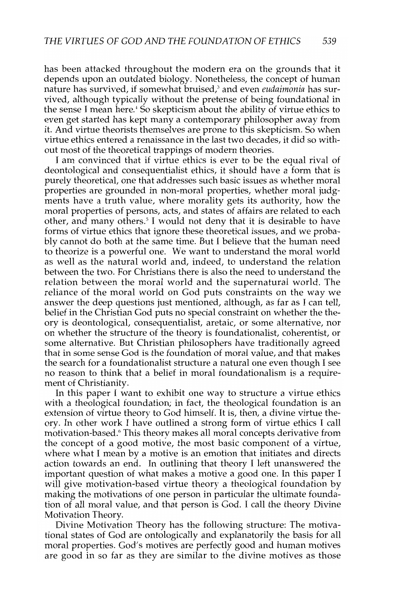has been attacked throughout the modern era on the grounds that it depends upon an outdated biology. Nonetheless, the concept of human nature has survived, if somewhat bruised,' and even *eudaimonia* has survived, although typically without the pretense of being foundational in the sense I mean here.<sup>4</sup> So skepticism about the ability of virtue ethics to even get started has kept many a contemporary philosopher away from it. And virtue theorists themselves are prone to this skepticism. So when virtue ethics entered a renaissance in the last two decades, it did so without most of the theoretical trappings of modern theories.

I am convinced that if virtue ethics is ever to be the equal rival of deontological and consequentialist ethics, it should have a form that is purely theoretical, one that addresses such basic issues as whether moral properties are grounded in non-moral properties, whether moral judgments have a truth value, where morality gets its authority, how the moral properties of persons, acts, and states of affairs are related to each other, and many others.<sup>5</sup> I would not deny that it is desirable to have forms of virtue ethics that ignore these theoretical issues, and we probably cannot do both at the same time. But I believe that the human need to theorize is a powerful one. We want to understand the moral world as well as the natural world and, indeed, to understand the relation between the two. For Christians there is also the need to understand the relation between the moral world and the supernatural world. The reliance of the moral world on God puts constraints on the way we answer the deep questions just mentioned, although, as far as I can tell, belief in the Christian God puts no special constraint on whether the theory is deontological, consequentialist, aretaic, or some alternative, nor on whether the structure of the theory is foundationalist, coherentist, or some alternative. But Christian philosophers have traditionally agreed that in some sense God is the foundation of moral value, and that makes the search for a foundationalist structure a natural one even though I see no reason to think that a belief in moral foundationalism is a requirement of Christianity.

In this paper I want to exhibit one way to structure a virtue ethics with a theological foundation; in fact, the theological foundation is an extension of virtue theory to God himself. It is, then, a divine virtue theory. In other work I have outlined a strong form of virtue ethics I call motivation-based." This theory makes all moral concepts derivative from the concept of a good motive, the most basic component of a virtue, where what I mean by a motive is an emotion that initiates and directs action towards an end. In outlining that theory I left unanswered the important question of what makes a motive a good one. In this paper I will give motivation-based virtue theory a theological foundation by making the motivations of one person in particular the ultimate foundation of all moral value, and that person is God. I call the theory Divine Motivation Theory.

Divine Motivation Theory has the following structure: The motivational states of God are ontologically and explanatorily the basis for all moral properties. God's motives are perfectly good and human motives are good in so far as they are similar to the divine motives as those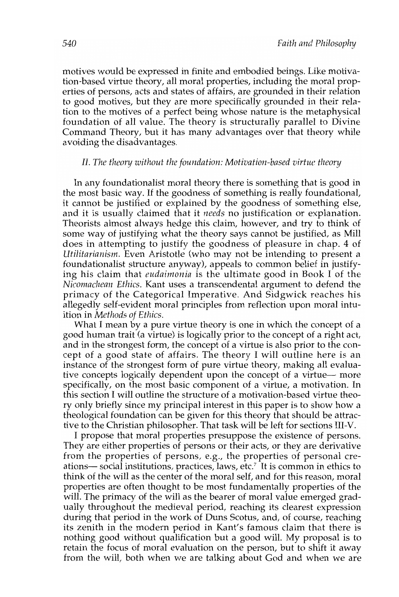motives would be expressed in finite and embodied beings. Like motivation-based virtue theory, all moral properties, including the moral properties of persons, acts and states of affairs, are grounded in their relation to good motives, but they are more specifically grounded in their relation to the motives of a perfect being whose nature is the metaphysical foundation of all value. The theory is structurally parallel to Divine Command Theory, but it has many advantages over that theory while avoiding the disadvantages.

#### *II. The theory without the foundation: Motivation-based virtue theory*

In any foundationalist moral theory there is something that is good in the most basic way. If the goodness of something is really foundational, it cannot be justified or explained by the goodness of something else, and it is usually claimed that it *needs* no justification or explanation. Theorists almost always hedge this claim, however, and try to think of some way of justifying what the theory says cannot be justified, as Mill does in attempting to justify the goodness of pleasure in chap. 4 of *Utilitarianism.* Even Aristotle (who may not be intending to present a foundationalist structure anyway), appeals to common belief in justifying his claim that *eudaimonia* is the ultimate good in Book I of the *Nicomachean Ethics.* Kant uses a transcendental argument to defend the primacy of the Categorical Imperative. And Sidgwick reaches his allegedly self-evident moral principles from reflection upon moral intuition in *Methods of Ethics.* 

What I mean by a pure virtue theory is one in which the concept of a good human trait (a virtue) is logically prior to the concept of a right act, and in the strongest form, the concept of a virtue is also prior to the concept of a good state of affairs. The theory I will outline here is an instance of the strongest form of pure virtue theory, making all evaluative concepts logically dependent upon the concept of a virtue- more specifically, on the most basic component of a virtue, a motivation. In this section I will outline the structure of a motivation-based virtue theory only briefly since my principal interest in this paper is to show how a theological foundation can be given for this theory that should be attractive to the Christian philosopher. That task will be left for sections Ill-V.

I propose that moral properties presuppose the existence of persons. They are either properties of persons or their acts, or they are derivative from the properties of persons, e.g., the properties of personal creations— social institutions, practices, laws, etc.<sup>7</sup> It is common in ethics to think of the will as the center of the moral self, and for this reason, moral properties are often thought to be most fundamentally properties of the will. The primacy of the will as the bearer of moral value emerged gradually throughout the medieval period, reaching its clearest expression during that period in the work of Duns Scotus, and, of course, reaching its zenith in the modern period in Kant's famous claim that there is nothing good without qualification but a good will. My proposal is to retain the focus of moral evaluation on the person, but to shift it away from the will, both when we are talking about God and when we are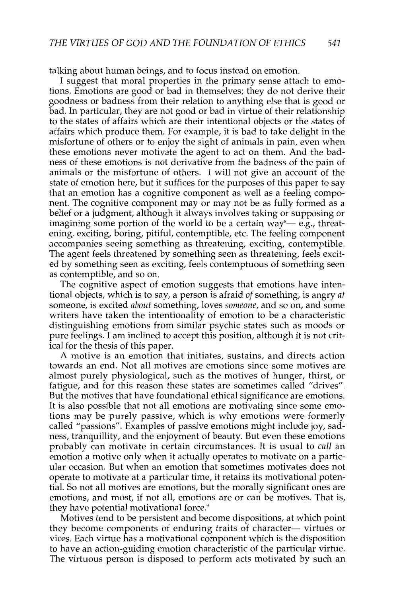talking about human beings, and to focus instead on emotion.

I suggest that moral properties in the primary sense attach to emotions. Emotions are good or bad in themselves; they do not derive their goodness or badness from their relation to anything else that is good or bad. In particular, they are not good or bad in virtue of their relationship to the states of affairs which are their intentional objects or the states of affairs which produce them. For example, it is bad to take delight in the misfortune of others or to enjoy the sight of animals in pain, even when these emotions never motivate the agent to act on them. And the badness of these emotions is not derivative from the badness of the pain of animals or the misfortune of others. I will not give an account of the state of emotion here, but it suffices for the purposes of this paper to say that an emotion has a cognitive component as well as a feeling component. The cognitive component may or may not be as fully formed as a belief or a judgment, although it always involves taking or supposing or imagining some portion of the world to be a certain way<sup>8</sup>— e.g., threatening, exciting, boring, pitiful, contemptible, etc. The feeling component accompanies seeing something as threatening, exciting, contemptible. The agent feels threatened by something seen as threatening, feels excited by something seen as exciting, feels contemptuous of something seen as contemptible, and so on.

The cognitive aspect of emotion suggests that emotions have intentional objects, which is to say, a person is afraid *of* something, is angry *at*  someone, is excited *about* something, loves *someone,* and so on, and some writers have taken the intentionality of emotion to be a characteristic distinguishing emotions from similar psychic states such as moods or pure feelings. I am inclined to accept this position, although it is not critical for the thesis of this paper.

A motive is an emotion that initiates, sustains, and directs action towards an end. Not all motives are emotions since some motives are almost purely physiological, such as the motives of hunger, thirst, or fatigue, and for this reason these states are sometimes called "drives". But the motives that have foundational ethical significance are emotions. It is also possible that not all emotions are motivating since some emotions may be purely passive, which is why emotions were formerly called "passions". Examples of passive emotions might include joy, sadness, tranquillity, and the enjoyment of beauty. But even these emotions probably can motivate in certain circumstances. It is usual to *call* an emotion a motive only when it actually operates to motivate on a particular occasion. But when an emotion that sometimes motivates does not operate to motivate at a particular time, it retains its motivational potential. So not all motives are emotions, but the morally significant ones are emotions, and most, if not all, emotions are or can be motives. That is, they have potential motivational force.<sup>9</sup>

Motives tend to be persistent and become dispositions, at which point they become components of enduring traits of character- virtues or vices. Each virtue has a motivational component which is the disposition to have an action-guiding emotion characteristic of the particular virtue. The virtuous person is disposed to perform acts motivated by such an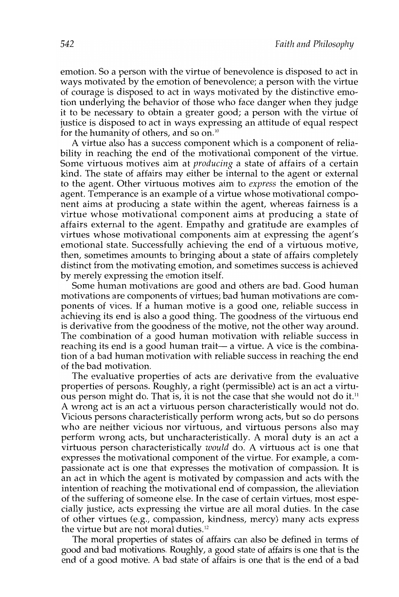emotion. So a person with the virtue of benevolence is disposed to act in ways motivated by the emotion of benevolence; a person with the virtue of courage is disposed to act in ways motivated by the distinctive emotion underlying the behavior of those who face danger when they judge it to be necessary to obtain a greater good; a person with the virtue of justice is disposed to act in ways expressing an attitude of equal respect for the humanity of others, and so on.<sup>10</sup>

A virtue also has a success component which is a component of reliability in reaching the end of the motivational component of the virtue. Some virtuous motives aim at *producing* a state of affairs of a certain kind. The state of affairs may either be internal to the agent or external to the agent. Other virtuous motives aim to *express* the emotion of the agent. Temperance is an example of a virtue whose motivational component aims at producing a state within the agent, whereas fairness is a virtue whose motivational component aims at producing a state of affairs external to the agent. Empathy and gratitude are examples of virtues whose motivational components aim at expressing the agent's emotional state. Successfully achieving the end of a virtuous motive, then, sometimes amounts to bringing about a state of affairs completely distinct from the motivating emotion, and sometimes success is achieved by merely expressing the emotion itself.

Some human motivations are good and others are bad. Good human motivations are components of virtues; bad human motivations are components of vices. If a human motive is a good one, reliable success in achieving its end is also a good thing. The goodness of the virtuous end is derivative from the goodness of the motive, not the other way around. The combination of a good human motivation with reliable success in reaching its end is a good human trait— a virtue. A vice is the combination of a bad human motivation with reliable success in reaching the end of the bad motivation.

The evaluative properties of acts are derivative from the evaluative properties of persons. Roughly, a right (permissible) act is an act a virtuous person might do. That is, it is not the case that she would not do it.<sup>11</sup> A wrong act is an act a virtuous person characteristically would not do. Vicious persons characteristically perform wrong acts, but so do persons who are neither vicious nor virtuous, and virtuous persons also may perform wrong acts, but uncharacteristically. A moral duty is an act a virtuous person characteristically *would* do. A virtuous act is one that expresses the motivational component of the virtue. For example, a compassionate act is one that expresses the motivation of compassion. It is an act in which the agent is motivated by compassion and acts with the intention of reaching the motivational end of compassion, the alleviation of the suffering of someone else. In the case of certain virtues, most especially justice, acts expressing the virtue are all moral duties. In the case of other virtues (e.g., compassion, kindness, mercy) many acts express the virtue but are not moral duties.<sup>12</sup>

The moral properties of states of affairs can also be defined in terms of good and bad motivations. Roughly, a good state of affairs is one that is the end of a good motive. A bad state of affairs is one that is the end of a bad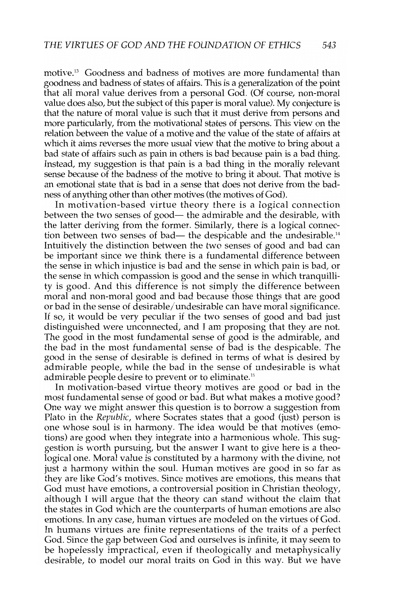motive.13 Goodness and badness of motives are more fundamental than goodness and badness of states of affairs. This is a generalization of the point that all moral value derives from a personal God. (Of course, non-moral value does also, but the subject of this paper is moral value). My conjecture is that the nature of moral value is such that it must derive from persons and more particularly, from the motivational states of persons. This view on the relation between the value of a motive and the value of the state of affairs at which it aims reverses the more usual view that the motive to bring about a bad state of affairs such as pain in others is bad because pain is a bad thing. Instead, my suggestion is that pain is a bad thing in the morally relevant sense because of the badness of the motive to bring it about. That motive is an emotional state that is bad in a sense that does not derive from the badness of anything other than other motives (the motives of God).

In motivation-based virtue theory there is a logical connection between the two senses of good— the admirable and the desirable, with the latter deriving from the former. Similarly, there is a logical connection between two senses of bad— the despicable and the undesirable.<sup>14</sup> Intuitively the distinction between the two senses of good and bad can be important since we think there is a fundamental difference between the sense in which injustice is bad and the sense in which pain is bad, or the sense in which compassion is good and the sense in which tranquillity is good. And this difference is not simply the difference between moral and non-moral good and bad because those things that are good or bad in the sense of desirable/undesirable can have moral significance. If so, it would be very peculiar if the two senses of good and bad just distinguished were unconnected, and I am proposing that they are not. The good in the most fundamental sense of good is the admirable, and the bad in the most fundamental sense of bad is the despicable. The good in the sense of desirable is defined in terms of what is desired by admirable people, while the bad in the sense of undesirable is what admirable people desire to prevent or to eliminate.<sup>15</sup>

In motivation-based virtue theory motives are good or bad in the most fundamental sense of good or bad. But what makes a motive good? One way we might answer this question is to borrow a suggestion from Plato in the *Republic,* where Socrates states that a good (just) person is one whose soul is in harmony. The idea would be that motives (emotions) are good when they integrate into a harmonious whole. This suggestion is worth pursuing, but the answer I want to give here is a theological one. Moral value is constituted by a harmony with the divine, not just a harmony within the soul. Human motives are good in so far as they are like God's motives. Since motives are emotions, this means that God must have emotions, a controversial position in Christian theology, although I will argue that the theory can stand without the claim that the states in God which are the counterparts of human emotions are also emotions. In any case, human virtues are modeled on the virtues of God. In humans virtues are finite representations of the traits of a perfect God. Since the gap between God and ourselves is infinite, it may seem to be hopelessly impractical, even if theologically and metaphysically desirable, to model our moral traits on God in this way. But we have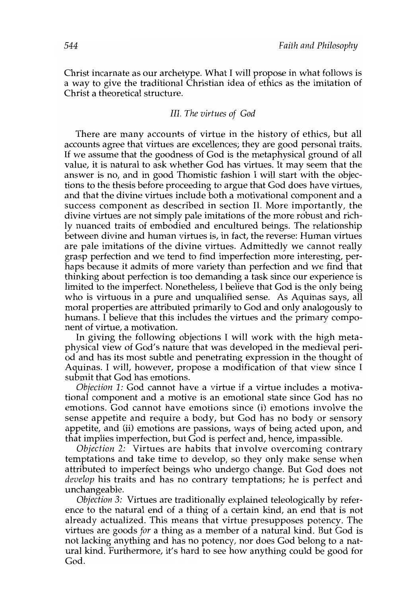Christ incarnate as our archetype. What I will propose in what follows is a way to give the traditional Christian idea of ethics as the imitation of Christ a theoretical structure.

#### *III. The virtues of God*

There are many accounts of virtue in the history of ethics, but all accounts agree that virtues are excellences; they are good personal traits. If we assume that the goodness of God is the metaphysical ground of all value, it is natural to ask whether God has virtues. It may seem that the answer is no, and in good Thomistic fashion I will start with the objections to the thesis before proceeding to argue that God does have virtues, and that the divine virtues include both a motivational component and a success component as described in section II. More importantly, the divine virtues are not simply pale imitations of the more robust and richly nuanced traits of embodied and encultured beings. The relationship between divine and human virtues is, in fact, the reverse: Human virtues are pale imitations of the divine virtues. Admittedly we cannot really grasp perfection and we tend to find imperfection more interesting, perhaps because it admits of more variety than perfection and we find that thinking about perfection is too demanding a task since our experience is limited to the imperfect. Nonetheless, I believe that God is the only being who is virtuous in a pure and unqualified sense. As Aquinas says, all moral properties are attributed primarily to God and only analogously to humans. I believe that this includes the virtues and the primary component of virtue, a motivation.

In giving the following objections I will work with the high metaphysical view of God's nature that was developed in the medieval period and has its most subtle and penetrating expression in the thought of Aquinas. I will, however, propose a modification of that view since I submit that God has emotions.

*Objection* 1: God cannot have a virtue if a virtue includes a motivational component and a motive is an emotional state since God has no emotions. God cannot have emotions since (i) emotions involve the sense appetite and require a body, but God has no body or sensory appetite, and (ii) emotions are passions, ways of being acted upon, and that implies imperfection, but God is perfect and, hence, impassible.

*Objection* 2: Virtues are habits that involve overcoming contrary temptations and take time to develop, so they only make sense when attributed to imperfect beings who undergo change. But God does not *develop* his traits and has no contrary temptations; he is perfect and unchangeable.

*Objection* 3: Virtues are traditionally explained teleologically by reference to the natural end of a thing of a certain kind, an end that is not already actualized. This means that virtue presupposes potency. The virtues are goods *for* a thing as a member of a natural kind. But God is not lacking anything and has no potency, nor does God belong to a natural kind. Furthermore, it's hard to see how anything could be good for God.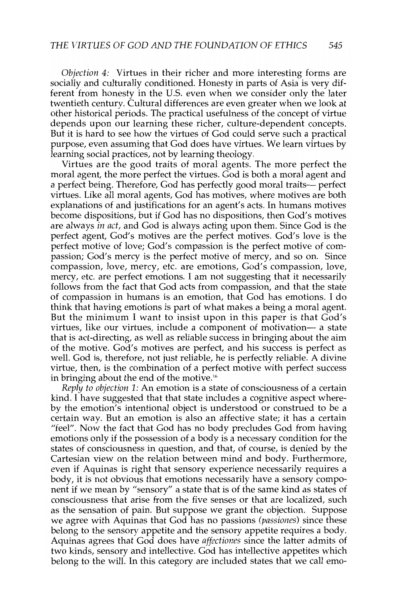*Objection* 4: Virtues in their richer and more interesting forms are socially and culturally conditioned. Honesty in parts of Asia is very different from honesty in the US. even when we consider only the later twentieth century. Cultural differences are even greater when we look at other historical periods. The practical usefulness of the concept of virtue depends upon our learning these richer, culture-dependent concepts. But it is hard to see how the virtues of God could serve such a practical purpose, even assuming that God does have virtues. We learn virtues by learning social practices, not by learning theology.

Virtues are the good traits of moral agents. The more perfect the moral agent, the more perfect the virtues. God is both a moral agent and a perfect being. Therefore, God has perfectly good moral traits— perfect virtues. Like all moral agents, God has motives, where motives are both explanations of and justifications for an agent's acts. In humans motives become dispositions, but if God has no dispositions, then God's motives are always *in act,* and God is always acting upon them. Since God is the perfect agent, God's motives are the perfect motives. God's love is the perfect motive of love; God's compassion is the perfect motive of compassion; God's mercy is the perfect motive of mercy, and so on. Since compassion, love, mercy, etc. are emotions, God's compassion, love, mercy, etc. are perfect emotions. I am not suggesting that it necessarily follows from the fact that God acts from compassion, and that the state of compassion in humans is an emotion, that God has emotions. I do think that having emotions is part of what makes a being a moral agent. But the minimum I want to insist upon in this paper is that God's virtues, like our virtues, include a component of motivation— a state that is act-directing, as well as reliable success in bringing about the aim of the motive. God's motives are perfect, and his success is perfect as well. God is, therefore, not just reliable, he is perfectly reliable. A divine virtue, then, is the combination of a perfect motive with perfect success in bringing about the end of the motive.'6

*Reply to objection* 1: An emotion is a state of consciousness of a certain kind. I have suggested that that state includes a cognitive aspect whereby the emotion's intentional object is understood or construed to be a certain way. But an emotion is also an affective state; it has a certain "feel". Now the fact that God has no body precludes God from having emotions only if the possession of a body is a necessary condition for the states of consciousness in question, and that, of course, is denied by the Cartesian view on the relation between mind and body. Furthermore, even if Aquinas is right that sensory experience necessarily requires a body, it is not obvious that emotions necessarily have a sensory component if we mean by "sensory" a state that is of the same kind as states of consciousness that arise from the five senses or that are localized, such as the sensation of pain. But suppose we grant the objection. Suppose we agree with Aquinas that God has no passions *(passiones)* since these belong to the sensory appetite and the sensory appetite requires a body. Aquinas agrees that God does have *affectiones* since the latter admits of two kinds, sensory and intellective. God has intellective appetites which belong to the will. In this category are included states that we call emo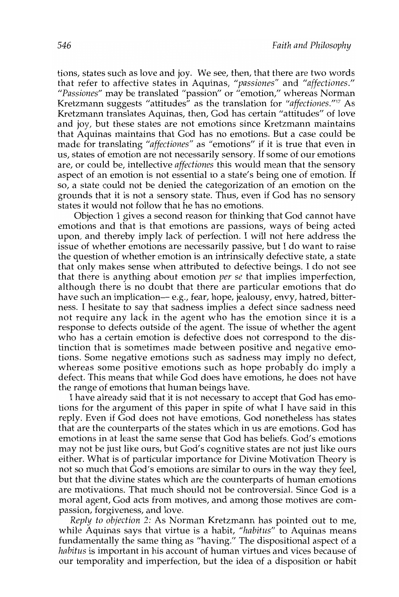tions, states such as love and joy. We see, then, that there are two words that refer to affective states in Aquinas, *"passiones"* and *"affectioncs." "Passiones"* may be translated "passion" or "emotion," whereas Norman Kretzmann suggests "attitudes" as the translation for *"affectioncs."17* As Kretzmann translates Aquinas, then, God has certain "attitudes" of love and joy, but these states are not emotions since Kretzmann maintains that Aquinas maintains that God has no emotions. But a case could be made for translating *"affectiones"* as "emotions" if it is true that even in us, states of emotion are not necessarily sensory. If some of our emotions are, or could be, intellective *affectiones* this would mean that the sensory aspect of an emotion is not essential to a state's being one of emotion. If so, a state could not be denied the categorization of an emotion on the grounds that it is not a sensory state. Thus, even if God has no sensory states it would not follow that he has no emotions.

Objection 1 gives a second reason for thinking that God cannot have emotions and that is that emotions are passions, ways of being acted upon, and thereby imply lack of perfection. I will not here address the issue of whether emotions are necessarily passive, but I do want to raise the question of whether emotion is an intrinsically defective state, a state that only makes sense when attributed to defective beings. I do not see that there is anything about emotion *per se* that implies imperfection, although there is no doubt that there are particular emotions that do have such an implication— e.g., fear, hope, jealousy, envy, hatred, bitterness. I hesitate to say that sadness implies a defect since sadness need not require any lack in the agent who has the emotion since it is a response to defects outside of the agent. The issue of whether the agent who has a certain emotion is defective does not correspond to the distinction that is sometimes made between positive and negative emotions. Some negative emotions such as sadness may imply no defect, whereas some positive emotions such as hope probably do imply a defect. This means that while God does have emotions, he does not have the range of emotions that human beings have.

I have already said that it is not necessary to accept that God has emotions for the argument of this paper in spite of what I have said in this reply. Even if God does not have emotions, God nonetheless has states that are the counterparts of the states which in us are emotions. God has emotions in at least the same sense that God has beliefs. God's emotions may not be just like ours, but God's cognitive states are not just like ours either. What is of particular importance for Divine Motivation Theory is not so much that God's emotions are similar to ours in the way they feel, but that the divine states which are the counterparts of human emotions are motivations. That much should not be controversial. Since God is a moral agent, God acts from motives, and among those motives are compassion, forgiveness, and love.

*Reply to objection* 2: As Norman Kretzmann has pointed out to me, while Aquinas says that virtue is a habit, *"habitus"* to Aquinas means fundamentally the same thing as "having." The dispositional aspect of a *habitus* is important in his account of human virtues and vices because of our temporality and imperfection, but the idea of a disposition or habit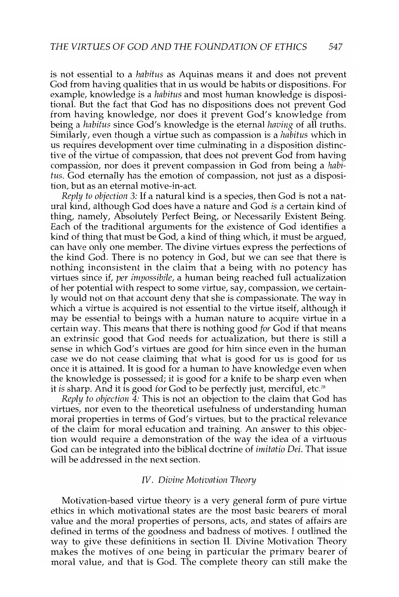is not essential to a *habitus* as Aquinas means it and does not prevent God from having qualities that in us would be habits or dispositions. For example, knowledge is a *habitus* and most human knowledge is dispositional. But the fact that God has no dispositions does not prevent God from having knowledge, nor does it prevent God's knowledge from being a *habitus* since God's knowledge is the eternal *having* of all truths. Similarly, even though a virtue such as compassion is a *habitus* which in us requires development over time culminating in a disposition distinctive of the virtue of compassion, that does not prevent God from having compassion, nor does it prevent compassion in God from being a *habitus.* God eternally has the emotion of compassion, not just as a disposition, but as an eternal motive-in-act.

*Reply to objection* 3: If a natural kind is a species, then God is not a natural kind, although God does have a nature and God *is* a certain kind of thing, namely, Absolutely Perfect Being, or Necessarily Existent Being. Each of the traditional arguments for the existence of God identifies a kind of thing that must be God, a kind of thing which, it must be argued, can have only one member. The divine virtues express the perfections of the kind God. There is no potency in God, but we can see that there is nothing inconsistent in the claim that a being with no potency has virtues since if, *per impossibile,* a human being reached full actualization of her potential with respect to some virtue, say, compassion, we certainly would not on that account deny that she is compassionate. The way in which a virtue is acquired is not essential to the virtue itself, although it may be essential to beings with a human nature to acquire virtue in a certain way. This means that there is nothing good *for* God if that means an extrinsic good that God needs for actualization, but there is still a sense in which God's virtues are good for him since even in the human case we do not cease claiming that what is good for us is good for us once it is attained. It is good for a human to have knowledge even when the knowledge is possessed; it is good for a knife to be sharp even when it is sharp. And it is good for God to be perfectly just, merciful, etc.<sup>18</sup>

*Reply to objection* 4: This is not an objection to the claim that God has virtues, nor even to the theoretical usefulness of understanding human moral properties in terms of God's virtues, but to the practical relevance of the claim for moral education and training. An answer to this objection would require a demonstration of the way the idea of a virtuous God can be integrated into the biblical doctrine of *imitatio Dei.* That issue will be addressed in the next section.

#### *IV. Divine Motivation Theory*

Motivation-based virtue theory is a very general form of pure virtue ethics in which motivational states are the most basic bearers of moral value and the moral properties of persons, acts, and states of affairs are defined in terms of the goodness and badness of motives. I outlined the way to give these definitions in section II. Divine Motivation Theory makes the motives of one being in particular the primary bearer of moral value, and that is God. The complete theory can still make the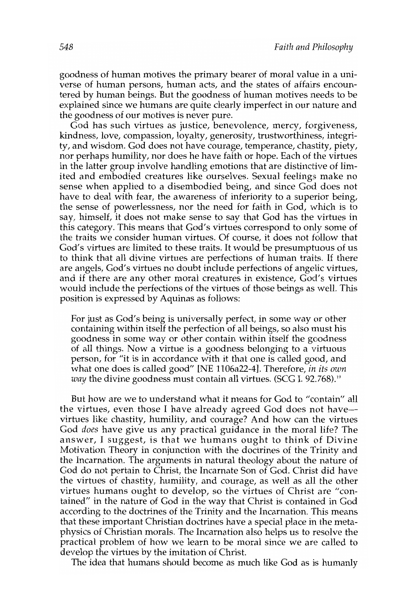goodness of human motives the primary bearer of moral value in a universe of human persons, human acts, and the states of affairs encountered by human beings. But the goodness of human motives needs to be explained since we humans are quite clearly imperfect in our nature and the goodness of our motives is never pure.

God has such virtues as justice, benevolence, mercy, forgiveness, kindness, love, compassion, loyalty, generosity, trustworthiness, integrity, and wisdom. God does not have courage, temperance, chastity, piety, nor perhaps humility, nor does he have faith or hope. Each of the virtues in the latter group involve handling emotions that are distinctive of limited and embodied creatures like ourselves. Sexual feelings make no sense when applied to a disembodied being, and since God does not have to deal with fear, the awareness of inferiority to a superior being, the sense of powerlessness, nor the need for faith in God, which is to say, himself, it does not make sense to say that God has the virtues in this category. This means that God's virtues correspond to only some of the traits we consider human virtues. Of course, it does not follow that God's virtues are limited to these traits. It would be presumptuous of us to think that all divine virtues are perfections of human traits. If there are angels, God's virtues no doubt include perfections of angelic virtues, and if there are any other moral creatures in existence, God's virtues would include the perfections of the virtues of those beings as well. This position is expressed by Aquinas as follows:

For just as God's being is universally perfect, in some way or other containing within itself the perfection of all beings, so also must his goodness in some way or other contain within itself the goodness of all things. Now a virtue is a goodness belonging to a virtuous person, for "it is in accordance with it that one is called good, and what one does is called good" [NE 1106a22-4]. Therefore, *in its own way* the divine goodness must contain all virtues. (SCG I. 92.768).<sup>19</sup>

But how are we to understand what it means for God to "contain" all the virtues, even those I have already agreed God does not have virtues like chastity, humility, and courage? And how can the virtues God *does* have give us any practical guidance in the moral life? The answer, I suggest, is that we humans ought to think of Divine Motivation Theory in conjunction with the doctrines of the Trinity and the Incarnation. The arguments in natural theology about the nature of God do not pertain to Christ, the Incarnate Son of God. Christ did have the virtues of chastity, humility, and courage, as well as all the other virtues humans ought to develop, so the virtues of Christ are "contained" in the nature of God in the way that Christ is contained in God according to the doctrines of the Trinity and the Incarnation. This means that these important Christian doctrines have a special place in the metaphysics of Christian morals. The Incarnation also helps us to resolve the practical problem of how we learn to be moral since we are called to develop the virtues by the imitation of Christ.

The idea that humans should become as much like God as is humanly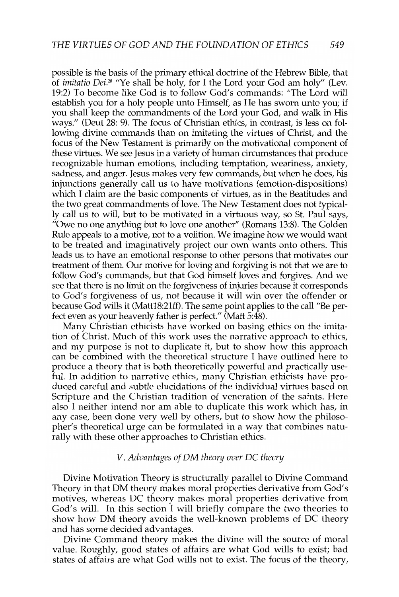possible is the basis of the primary ethical doctrine of the Hebrew Bible, that of *imitatio Dei.20* "Ye shall be holy, for I the Lord your God am holy" (Lev. 19:2) To become like God is to follow God's commands: "The Lord will establish you for a holy people unto Himself, as He has sworn unto you; if you shall keep the commandments of the Lord your God, and walk in His ways." (Deut 28: 9). The focus of Christian ethics, in contrast, is less on following divine commands than on imitating the virtues of Christ, and the focus of the New Testament is primarily on the motivational component of these virtues. We see Jesus in a variety of human circumstances that produce recognizable human emotions, including temptation, weariness, anxiety, sadness, and anger. Jesus makes very few commands, but when he does, his injunctions generally call us to have motivations (emotion-dispositions) which I claim are the basic components of virtues, as in the Beatitudes and the two great commandments of love. The New Testament does not typically call us to will, but to be motivated in a virtuous way, so St. Paul says, "Owe no one anything but to love one another" (Romans 13:8). The Golden Rule appeals to a motive, not to a volition. We imagine how we would want to be treated and imaginatively project our own wants onto others. This leads us to have an emotional response to other persons that motivates our treatment of them. Our motive for loving and forgiving is not that we are to follow God's commands, but that God himself loves and forgives. And we see that there is no limit on the forgiveness of injuries because it corresponds to God's forgiveness of us, not because it will win over the offender or because God wills it (Matt18:21ff). The same point applies to the call "Be perfect even as your heavenly father is perfect." (Matt 5:48).

Many Christian ethicists have worked on basing ethics on the imitation of Christ. Much of this work uses the narrative approach to ethics, and my purpose is not to duplicate it, but to show how this approach can be combined with the theoretical structure I have outlined here to produce a theory that is both theoretically powerful and practically useful. In addition to narrative ethics, many Christian ethicists have produced careful and subtle elucidations of the individual virtues based on Scripture and the Christian tradition of veneration of the saints. Here also I neither intend nor am able to duplicate this work which has, in any case, been done very well by others, but to show how the philosopher's theoretical urge can be formulated in a way that combines naturally with these other approaches to Christian ethics.

#### *V. Advantages of* DM *theory over* DC *theory*

Divine Motivation Theory is structurally parallel to Divine Command Theory in that DM theory makes moral properties derivative from God's motives, whereas DC theory makes moral properties derivative from God's will. In this section I will briefly compare the two theories to show how DM theory avoids the well-known problems of DC theory and has some decided advantages.

Divine Command theory makes the divine will the source of moral value. Roughly, good states of affairs are what God wills to exist; bad states of affairs are what God wills not to exist. The focus of the theory,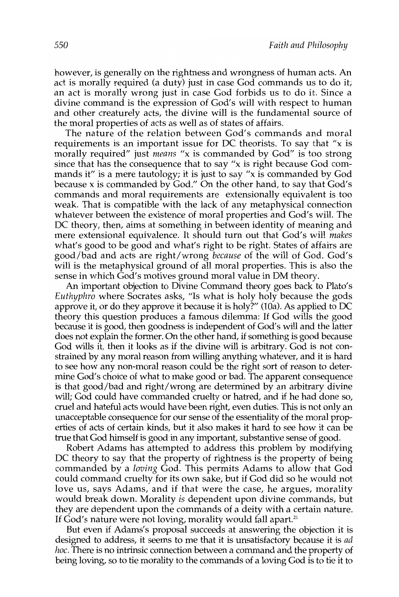however, is generally on the rightness and wrongness of human acts. An act is morally required (a duty) just in case God commands us to do it; an act is morally wrong just in case God forbids us to do it. Since a divine command is the expression of God's will with respect to human and other creaturely acts, the divine will is the fundamental source of the moral properties of acts as well as of states of affairs.

The nature of the relation between God's commands and moral requirements is an important issue for DC theorists. To say that " $x$  is morally required" just *means* "x is commanded by God" is too strong since that has the consequence that to say " $x$  is right because God commands it" is a mere tautology; it is just to say "x is commanded by God because x is commanded by God." On the other hand, to say that God's commands and moral requirements are extensionally equivalent is too weak. That is compatible with the lack of any metaphysical connection whatever between the existence of moral properties and God's will. The DC theory, then, aims at something in between identity of meaning and mere extensional equivalence. It should turn out that God's will *makes*  what's good to be good and what's right to be right. States of affairs are good/bad and acts are right/wrong *because* of the will of God. God's will is the metaphysical ground of all moral properties. This is also the sense in which God's motives ground moral value in DM theory.

An important objection to Divine Command theory goes back to Plato's *Euthyphro* where Socrates asks, "Is what is holy holy because the gods approve it, or do they approve it because it is holy?" (10a). As applied to DC theory this question produces a famous dilemma: If God wills the good because it is good, then goodness is independent of God's will and the latter does not explain the former. On the other hand, if something is good because God wills it, then it looks as if the divine will is arbitrary. God is not constrained by any moral reason from willing anything whatever, and it is hard to see how any non-moral reason could be the right sort of reason to determine God's choice of what to make good or bad. The apparent consequence is that good/bad and right/wrong are determined by an arbitrary divine will; God could have commanded cruelty or hatred, and if he had done so, cruel and hateful acts would have been right, even duties. This is not only an unacceptable consequence for our sense of the essentiality of the moral properties of acts of certain kinds, but it also makes it hard to see how it can be true that God himself is good in any important, substantive sense of good.

Robert Adams has attempted to address this problem by modifying DC theory to say that the property of rightness is the property of being commanded by a *loving* God. This permits Adams to allow that God could command cruelty for its own sake, but if God did so he would not love us, says Adams, and if that were the case, he argues, morality would break down. Morality is dependent upon divine commands, but they are dependent upon the commands of a deity with a certain nature. If God's nature were not loving, morality would fall apart.<sup>21</sup>

But even if Adams's proposal succeeds at answering the objection it is designed to address, it seems to me that it is unsatisfactory because it is *ad hoc.* There is no intrinsic connection between a command and the property of being loving, so to tie morality to the commands of a loving God is to tie it to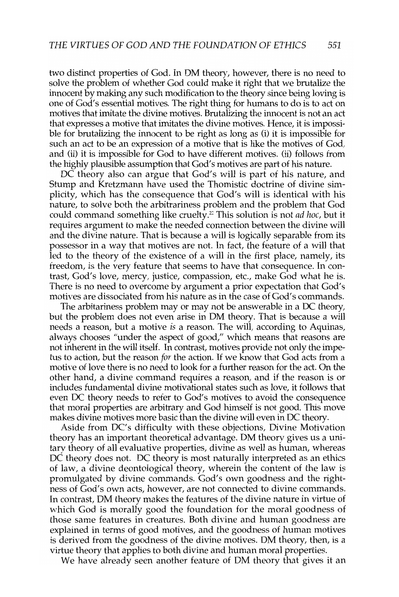two distinct properties of God. In OM theory, however, there is no need to solve the problem of whether God could make it right that we brutalize the innocent by making any such modification to the theory since being loving is one of God's essential motives. The right thing for humans to do is to act on motives that imitate the divine motives. Brutalizing the innocent is not an act that expresses a motive that imitates the divine motives. Hence, it is impossible for brutalizing the innocent to be right as long as (i) it is impossible for such an act to be an expression of a motive that is like the motives of God, and (ii) it is impossible for God to have different motives. (ii) follows from the highly plausible assumption that God's motives are part of his nature.

DC theory also can argue that God's will is part of his nature, and Stump and Kretzmann have used the Thomistic doctrine of divine simplicity, which has the consequence that God's will is identical with his nature, to solve both the arbitrariness problem and the problem that God could command something like cruelty.22 This solution is not *ad hoc,* but it requires argument to make the needed connection between the divine will and the divine nature. That is because a will is logically separable from its possessor in a way that motives are not. In fact, the feature of a will that led to the theory of the existence of a will in the first place, namely, its freedom, is the very feature that seems to have that consequence. In contrast, God's love, mercy, justice, compassion, etc., make God what he is. There is no need to overcome by argument a prior expectation that God's motives are dissociated from his nature as in the case of God's commands.

The arbitariness problem may or may not be answerable in a DC theory, but the problem does not even arise in OM theory. That is because a will needs a reason, but a motive *is* a reason. The will, according to Aquinas, always chooses "under the aspect of good," which means that reasons are not inherent in the will itself. In contrast, motives provide not only the impetus to action, but the reason *for* the action. If we know that God acts from a motive of love there is no need to look for a further reason for the act. On the other hand, a divine command requires a reason, and if the reason is or includes fundamental divine motivational states such as love, it follows that even DC theory needs to refer to God's motives to avoid the consequence that moral properties are arbitrary and God himself is not good. This move makes divine motives more basic than the divine will even in DC theory.

Aside from DC's difficulty with these objections, Divine Motivation theory has an important theoretical advantage. OM theory gives us a unitary theory of all evaluative properties, divine as well as human, whereas DC theory does not. DC theory is most naturally interpreted as an ethics of law, a divine deontological theory, wherein the content of the law is promulgated by divine commands. God's own goodness and the rightness of God's own acts, however, are not connected to divine commands. In contrast, OM theory makes the features of the divine nature in virtue of which God is morally good the foundation for the moral goodness of those same features in creatures. Both divine and human goodness are explained in terms of good motives, and the goodness of human motives is derived from the goodness of the divine motives. OM theory, then, is a virtue theory that applies to both divine and human moral properties.

We have already seen another feature of DM theory that gives it an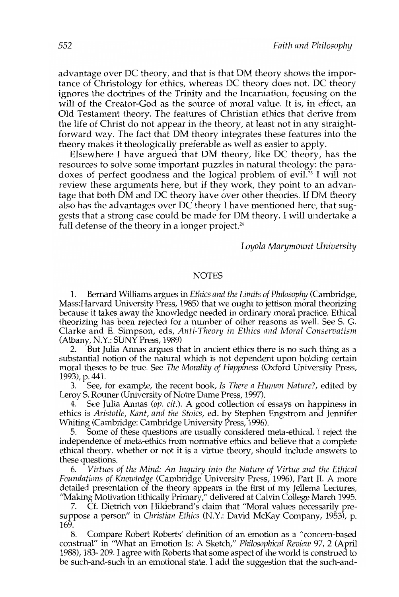advantage over DC theory, and that is that DM theory shows the importance of Christology for ethics, whereas DC theory does not. DC theory ignores the doctrines of the Trinity and the Incarnation, focusing on the will of the Creator-God as the source of moral value. It is, in effect, an Old Testament theory. The features of Christian ethics that derive from the life of Christ do not appear in the theory, at least not in any straightforward way. The fact that DM theory integrates these features into the theory makes it theologically preferable as well as easier to apply.

Elsewhere I have argued that DM theory, like DC theory, has the resources to solve some important puzzles in natural theology: the paradoxes of perfect goodness and the logical problem of evil.23 I will not review these arguments here, but if they work, they point to an advantage that both DM and DC theory have over other theories. If DM theory also has the advantages over DC theory I have mentioned here, that suggests that a strong case could be made for DM theory. I will undertake a full defense of the theory in a longer project.<sup>24</sup>

*Loyola Marymount University* 

#### **NOTES**

1. Bernard Williams argues in *Ethics and the Limits of Philosophy* (Cambridge, Mass:Harvard University Press, 1985) that we ought to jettison moral theorizing because it takes away the knowledge needed in ordinary moral practice. Ethical theorizing has been rejected for a number of other reasons as well. See S. G. Clarke and E. Simpson, eds, *Anti-Theory in Ethics and Moral Conservatism*  (Albany, N.Y.: SUNY Press, 1989)

2. But Julia Annas argues that in ancient ethics there is no such thing as a substantial notion of the natural which is not dependent upon holding certain moral theses to be true. See The *Morality of Happiness* (Oxford University Press, 1993), p. 441.

3. See, for example, the recent book, *Is There a Human Nature?,* edited by Leroy S. Rouner (University of Notre Dame Press, 1997).

4. See Julia Annas *(op. cit.).* A good collection of essays on happiness in ethics is *Aristotle, Kant, and the Stoics,* ed. by Stephen Engstrom and Jennifer Whiting (Cambridge: Cambridge University Press, 1996).

5. Some of these questions are usually considered meta-ethical. I reject the independence of meta-ethics from normative ethics and believe that a complete ethical theory, whether or not it is a virtue theory, should include answers to these questions.

*6. Virtues of the Mind: An Inquiry into the Nature of Virtue and the EthicaL Foundations of Know/edge* (Cambridge University Press, 1996), Part II. A more detailed presentation of the theory appears in the first of my Jellema Lectures, ''Making Motivation Ethically Primary," delivered at Calvin College March 1995.

7. ct. Dietrich von Hildebrand's claim that "Moral values necessarily presuppose a person" in *Christian Ethics* (N.Y.: David McKay Company, 1953), p. 169.

8. Compare Robert Roberts' definition of an emotion as a "concern-based construal" in ''What an Emotion Is: A Sketch," *Philosophical Review* 97,2 (April 1988),183- 209.1 agree with Roberts that some aspect of the world is construed to be such-and-such in an emotional state. I add the suggestion that the such-and-